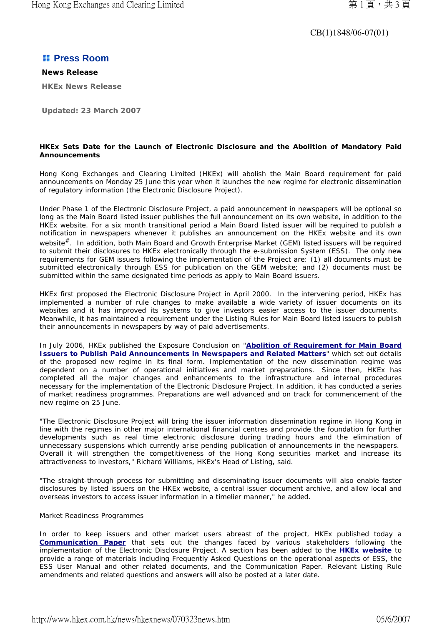## CB(1)1848/06-07(01)

# *<b>H* Press Room

**News Release HKEx News Release**

**Updated: 23 March 2007** 

### **HKEx Sets Date for the Launch of Electronic Disclosure and the Abolition of Mandatory Paid Announcements**

Hong Kong Exchanges and Clearing Limited (HKEx) will abolish the Main Board requirement for paid announcements on Monday 25 June this year when it launches the new regime for electronic dissemination of regulatory information (the Electronic Disclosure Project).

Under Phase 1 of the Electronic Disclosure Project, a paid announcement in newspapers will be optional so long as the Main Board listed issuer publishes the full announcement on its own website, in addition to the HKEx website. For a six month transitional period a Main Board listed issuer will be required to publish a notification in newspapers whenever it publishes an announcement on the HKEx website and its own website<sup>#</sup>. In addition, both Main Board and Growth Enterprise Market (GEM) listed issuers will be required to submit their disclosures to HKEx electronically through the e-submission System (ESS). The only new requirements for GEM issuers following the implementation of the Project are: (1) all documents must be submitted electronically through ESS for publication on the GEM website; and (2) documents must be submitted within the same designated time periods as apply to Main Board issuers.

HKEx first proposed the Electronic Disclosure Project in April 2000. In the intervening period, HKEx has implemented a number of rule changes to make available a wide variety of issuer documents on its websites and it has improved its systems to give investors easier access to the issuer documents. Meanwhile, it has maintained a requirement under the Listing Rules for Main Board listed issuers to publish their announcements in newspapers by way of paid advertisements.

In July 2006, HKEx published the Exposure Conclusion on "**Abolition of Requirement for Main Board Issuers to Publish Paid Announcements in Newspapers and Related Matters**" which set out details of the proposed new regime in its final form. Implementation of the new dissemination regime was dependent on a number of operational initiatives and market preparations. Since then, HKEx has completed all the major changes and enhancements to the infrastructure and internal procedures necessary for the implementation of the Electronic Disclosure Project. In addition, it has conducted a series of market readiness programmes. Preparations are well advanced and on track for commencement of the new regime on 25 June.

"The Electronic Disclosure Project will bring the issuer information dissemination regime in Hong Kong in line with the regimes in other major international financial centres and provide the foundation for further developments such as real time electronic disclosure during trading hours and the elimination of unnecessary suspensions which currently arise pending publication of announcements in the newspapers. Overall it will strengthen the competitiveness of the Hong Kong securities market and increase its attractiveness to investors," Richard Williams, HKEx's Head of Listing, said.

"The straight-through process for submitting and disseminating issuer documents will also enable faster disclosures by listed issuers on the HKEx website, a central issuer document archive, and allow local and overseas investors to access issuer information in a timelier manner," he added.

### Market Readiness Programmes

In order to keep issuers and other market users abreast of the project, HKEx published today a **Communication Paper** that sets out the changes faced by various stakeholders following the implementation of the Electronic Disclosure Project. A section has been added to the **HKEx website** to provide a range of materials including Frequently Asked Questions on the operational aspects of ESS, the ESS User Manual and other related documents, and the Communication Paper. Relevant Listing Rule amendments and related questions and answers will also be posted at a later date.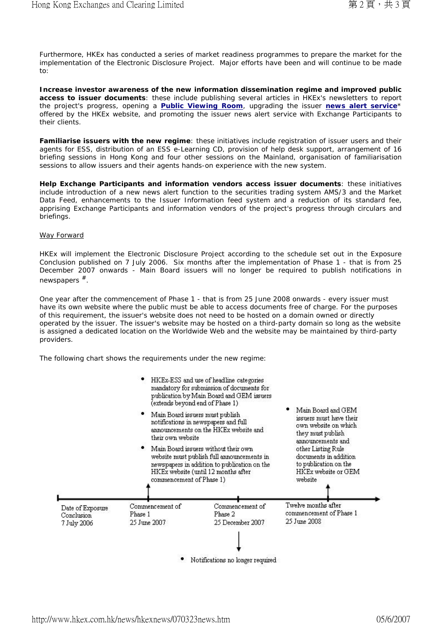Furthermore, HKEx has conducted a series of market readiness programmes to prepare the market for the implementation of the Electronic Disclosure Project. Major efforts have been and will continue to be made to:

**Increase investor awareness of the new information dissemination regime and improved public access to issuer documents**: these include publishing several articles in HKEx's newsletters to report the project's progress, opening a **Public Viewing Room**, upgrading the issuer **news alert service**\* offered by the HKEx website, and promoting the issuer news alert service with Exchange Participants to their clients.

**Familiarise issuers with the new regime**: these initiatives include registration of issuer users and their agents for ESS, distribution of an ESS e-Learning CD, provision of help desk support, arrangement of 16 briefing sessions in Hong Kong and four other sessions on the Mainland, organisation of familiarisation sessions to allow issuers and their agents hands-on experience with the new system.

**Help Exchange Participants and information vendors access issuer documents**: these initiatives include introduction of a new news alert function to the securities trading system AMS/3 and the Market Data Feed, enhancements to the Issuer Information *feed* system and a reduction of its standard fee, apprising Exchange Participants and information vendors of the project's progress through circulars and briefings.

#### Way Forward

HKEx will implement the Electronic Disclosure Project according to the schedule set out in the Exposure Conclusion published on 7 July 2006. Six months after the implementation of Phase 1 - that is from 25 December 2007 onwards - Main Board issuers will no longer be required to publish notifications in newspapers  $#$ .

One year after the commencement of Phase 1 - that is from 25 June 2008 onwards - every issuer must have its own website where the public must be able to access documents free of charge. For the purposes of this requirement, the issuer's website does not need to be hosted on a domain owned or directly operated by the issuer. The issuer's website may be hosted on a third-party domain so long as the website is assigned a dedicated location on the Worldwide Web and the website may be maintained by third-party providers.

The following chart shows the requirements under the new regime: